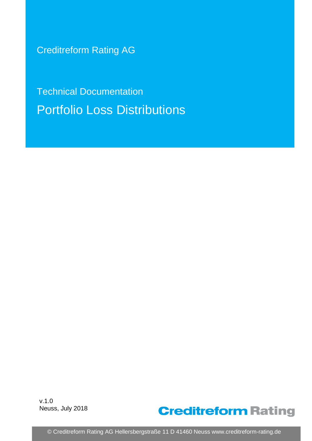Creditreform Rating AG

Technical Documentation Portfolio Loss Distributions

v.1.0 Neuss, July 2018



© Creditreform Rating AG Hellersbergstraße 11 D 41460 Neuss www.creditreform-rating.de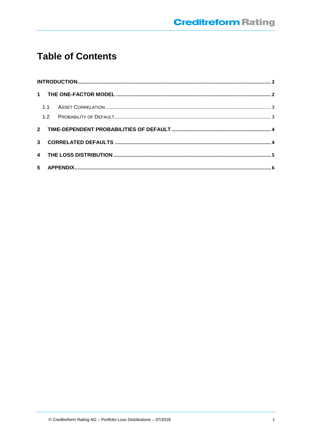# **Table of Contents**

| 1.1 |  |  |  |  |  |  |  |
|-----|--|--|--|--|--|--|--|
|     |  |  |  |  |  |  |  |
|     |  |  |  |  |  |  |  |
|     |  |  |  |  |  |  |  |
|     |  |  |  |  |  |  |  |
|     |  |  |  |  |  |  |  |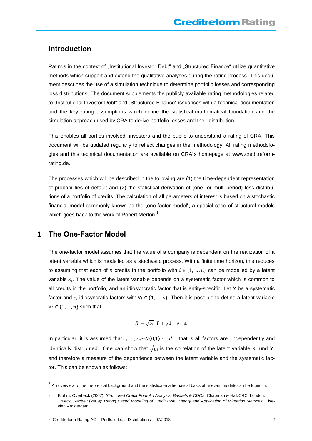### <span id="page-2-0"></span>**Introduction**

Ratings in the context of "Institutional Investor Debt" and "Structured Finance" utilize quantitative methods which support and extend the qualitative analyses during the rating process. This document describes the use of a simulation technique to determine portfolio losses and corresponding loss distributions. The document supplements the publicly available rating methodologies related to "Institutional Investor Debt" and "Structured Finance" issuances with a technical documentation and the key rating assumptions which define the statistical-mathematical foundation and the simulation approach used by CRA to derive portfolio losses and their distribution.

This enables all parties involved, investors and the public to understand a rating of CRA. This document will be updated regularly to reflect changes in the methodology. All rating methodologies and this technical documentation are available on CRA´s homepage at www.creditreformrating.de.

The processes which will be described in the following are (1) the time-dependent representation of probabilities of default and (2) the statistical derivation of (one- or multi-period) loss distributions of a portfolio of credits. The calculation of all parameters of interest is based on a stochastic financial model commonly known as the "one-factor model", a special case of structural models which goes back to the work of Robert Merton.<sup>1</sup>

## <span id="page-2-1"></span>**1 The One-Factor Model**

l

The one-factor model assumes that the value of a company is dependent on the realization of a latent variable which is modelled as a stochastic process. With a finite time horizon, this reduces to assuming that each of *n* credits in the portfolio with  $i \in \{1, ..., n\}$  can be modelled by a latent variable  $R_i$ . The value of the latent variable depends on a systematic factor which is common to all credits in the portfolio, and an idiosyncratic factor that is entity-specific. Let *Y* be a systematic factor and  $\varepsilon_i$  idiosyncratic factors with ∀ $i \in \{1,...,n\}$ . Then it is possible to define a latent variable  $\forall i \in \{1, ..., n\}$  such that

$$
R_i = \sqrt{\varrho_i} \cdot Y + \sqrt{1 - \varrho_i} \cdot \varepsilon_i
$$

In particular, it is assumed that  $\varepsilon_1, ..., \varepsilon_n \sim N(0,1)$  *i.i.d.*, that is all factors are "independently and identically distributed". One can show that  $\sqrt{\varrho_i}$  is the correlation of the latent variable  $R_i$  und Y, and therefore a measure of the dependence between the latent variable and the systematic factor. This can be shown as follows:

 $1$  An overview to the theoretical background and the statistical-mathematical basis of relevant models can be found in:

<sup>-</sup> Bluhm, Overbeck (2007): *Structured Credit Portfolio Analysis, Baskets & CDOs*. Chapman & Hall/CRC. London.

<sup>-</sup> Trueck, Rachev (2009): *Rating Based Modeling of Credit Risk. Theory and Application of Migration Matrices*. Elsevier. Amsterdam.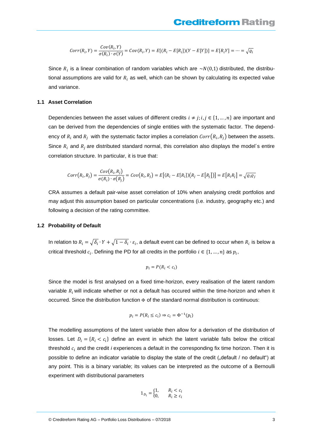$$
Corr(R_i,Y)=\frac{Cov(R_i,Y)}{\sigma(R_i)\cdot \sigma(Y)}=Cov(R_i,Y)=E[(R_i-E[R_i])(Y-E[Y])]=E[R_iY]=\cdots=\sqrt{\varrho_i}
$$

Since  $R_i$  is a linear combination of random variables which are  $\sim N(0,1)$  distributed, the distributional assumptions are valid for  $R_i$  as well, which can be shown by calculating its expected value and variance.

#### <span id="page-3-0"></span>**1.1 Asset Correlation**

Dependencies between the asset values of different credits  $i \neq j$ ;  $i, j \in \{1, ..., n\}$  are important and can be derived from the dependencies of single entities with the systematic factor. The dependency of  $R_i$  and  $R_j\,$  with the systematic factor implies a correlation  $\mathit{Corr}(R_i,R_j)$  between the assets. Since  $R_i$  and  $R_i$  are distributed standard normal, this correlation also displays the model's entire correlation structure. In particular, it is true that:

$$
Corr(R_i, R_j) = \frac{Cov(R_i, R_j)}{\sigma(R_i) \cdot \sigma(R_j)} = Cov(R_i, R_j) = E[(R_i - E[R_i])(R_j - E[R_j])] = E[R_iR_j] = \sqrt{\varrho_i\varrho_j}
$$

CRA assumes a default pair-wise asset correlation of 10% when analysing credit portfolios and may adjust this assumption based on particular concentrations (i.e. industry, geography etc.) and following a decision of the rating committee.

#### <span id="page-3-1"></span>**1.2 Probability of Default**

In relation to  $R_i = \sqrt{\delta_i \cdot Y} + \sqrt{1-\delta_i \cdot \varepsilon_i}$ , a default event can be defined to occur when  $R_i$  is below a critical threshold  $c_i.$  Defining the PD for all credits in the portfolio  $i \in \{1,...,n\}$  as  $p_i,$ 

$$
p_i = P(R_i < c_i)
$$

Since the model is first analysed on a fixed time-horizon, every realisation of the latent random variable  $R_i$  will indicate whether or not a default has occured within the time-horizon and when it occurred. Since the distribution function  $\Phi$  of the standard normal distribution is continuous:

$$
p_i = P(R_i \le c_i) \Rightarrow c_i = \Phi^{-1}(p_i)
$$

The modelling assumptions of the latent variable then allow for a derivation of the distribution of losses. Let  $D_i = \{R_i < c_i\}$  define an event in which the latent variable falls below the critical threshold  $c_i$  and the credit *i* experiences a default in the corresponding fix time horizon. Then it is possible to define an indicator variable to display the state of the credit ("default / no default") at any point. This is a binary variable; its values can be interpreted as the outcome of a Bernoulli experiment with distributional parameters

$$
1_{D_i} = \begin{cases} 1, & R_i < c_i \\ 0, & R_i \ge c_i \end{cases}
$$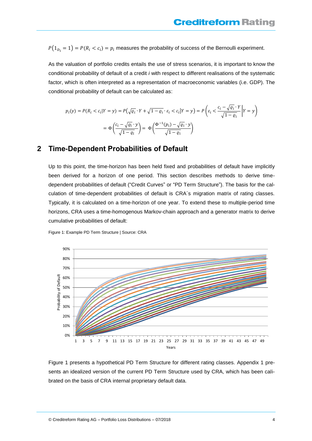<span id="page-4-1"></span> $P(1_{D_i}=1)=P(R_i < c_i)=p_i$  measures the probability of success of the Bernoulli experiment.

As the valuation of portfolio credits entails the use of stress scenarios, it is important to know the conditional probability of default of a credit *i* with respect to different realisations of the systematic factor, which is often interpreted as a representation of macroeconomic variables (i.e. GDP). The conditional probability of default can be calculated as:

$$
p_i(y) = P(R_i < c_i | Y = y) = P\left(\sqrt{\varrho_i} \cdot Y + \sqrt{1 - \varrho_i} \cdot \varepsilon_i < c_i | Y = y\right) = P\left(\varepsilon_i < \frac{c_i - \sqrt{\varrho_i} \cdot Y}{\sqrt{1 - \varrho_i}} \middle| Y = y\right)
$$
\n
$$
= \Phi\left(\frac{c_i - \sqrt{\varrho_i} \cdot y}{\sqrt{1 - \varrho_i}}\right) = \Phi\left(\frac{\Phi^{-1}(p_i) - \sqrt{\varrho_i} \cdot y}{\sqrt{1 - \varrho_i}}\right)
$$

### <span id="page-4-0"></span>**2 Time-Dependent Probabilities of Default**

Up to this point, the time-horizon has been held fixed and probabilities of default have implicitly been derived for a horizon of one period. This section describes methods to derive timedependent probabilities of default ("Credit Curves" or "PD Term Structure"). The basis for the calculation of time-dependent probabilities of default is CRA´s migration matrix of rating classes. Typically, it is calculated on a time-horizon of one year. To extend these to multiple-period time horizons, CRA uses a time-homogenous Markov-chain approach and a generator matrix to derive cumulative probabilities of default:

Figure 1: Example PD Term Structure | Source: CRA



Figure 1 presents a hypothetical PD Term Structure for different rating classes. Appendix 1 presents an idealized version of the current PD Term Structure used by CRA, which has been calibrated on the basis of CRA internal proprietary default data.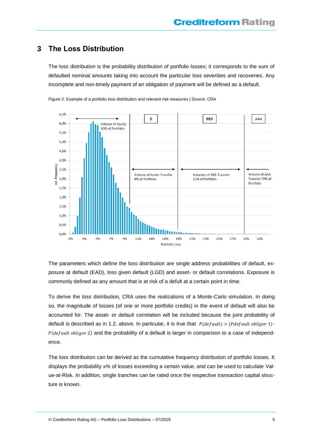# <span id="page-5-0"></span>**3 The Loss Distribution**

The loss distribution is the probability distribution of portfolio losses; it corresponds to the sum of defaulted nominal amounts taking into account the particular loss severities and recoveries. Any incomplete and non-timely payment of an obligation of payment will be defined as a default.



Figure 2: Example of a portfolio loss distribution and relevant risk measures | Source: CRA

The parameters which define the loss distribution are single address probabilities of default, exposure at default (EAD), loss given default (LGD) and asset- or default correlations. Exposure is commonly defined as any amount that is at risk of a defult at a certain point in time.

To derive the loss distribution, CRA uses the realizations of a Monte-Carlo simulation. In doing so, the magnitude of losses (of one or more portfolio credits) in the event of default will also be accounted for. The asset- or default correlation will be included because the joint probability of default is described as in 1.2. above. In particular, it is true that  $P(default) > (Pdefault~obligor 1)$  $P(default~obligor 2)$  and the probability of a default is larger in comparison to a case of independence.

The loss distribution can be derived as the cumulative frequency distribution of portfolio losses. It displays the probability x% of losses exceeding a certain value, and can be used to calculate Value-at-Risk. In addition, single tranches can be rated once the respective transaction capital structure is known.